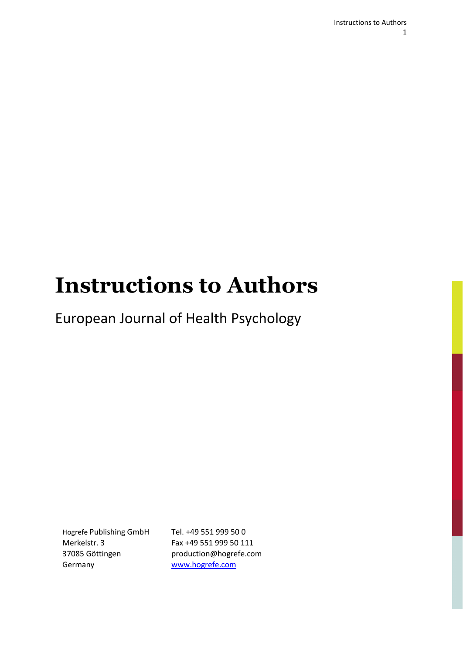# **Instructions to Authors**

European Journal of Health Psychology

Hogrefe Publishing GmbH Merkelstr. 3 37085 Göttingen Germany

Tel. +49 551 999 50 0 Fax +49 551 999 50 111 production@hogrefe.com www.hogrefe.com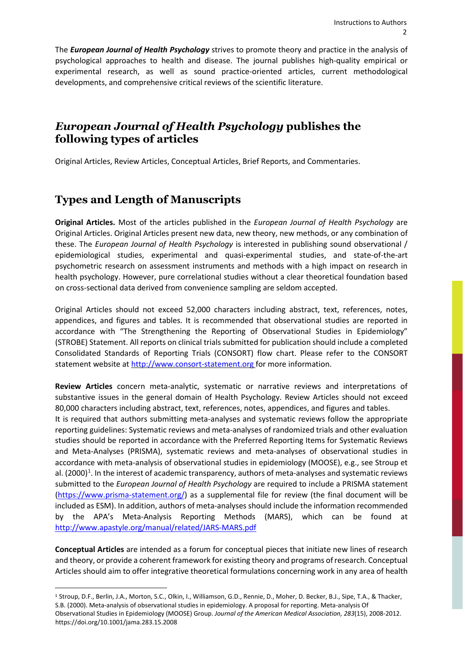The *European Journal of Health Psychology* strives to promote theory and practice in the analysis of psychological approaches to health and disease. The journal publishes high-quality empirical or experimental research, as well as sound practice-oriented articles, current methodological developments, and comprehensive critical reviews of the scientific literature.

## *European Journal of Health Psychology* **publishes the following types of articles**

Original Articles, Review Articles, Conceptual Articles, Brief Reports, and Commentaries.

# **Types and Length of Manuscripts**

**Original Articles.** Most of the articles published in the *European Journal of Health Psychology* are Original Articles. Original Articles present new data, new theory, new methods, or any combination of these. The *European Journal of Health Psychology* is interested in publishing sound observational / epidemiological studies, experimental and quasi-experimental studies, and state-of-the-art psychometric research on assessment instruments and methods with a high impact on research in health psychology. However, pure correlational studies without a clear theoretical foundation based on cross-sectional data derived from convenience sampling are seldom accepted.

Original Articles should not exceed 52,000 characters including abstract, text, references, notes, appendices, and figures and tables. It is recommended that observational studies are reported in accordance with "The Strengthening the Reporting of Observational Studies in Epidemiology" (STROBE) Statement. All reports on clinical trials submitted for publication should include a completed Consolidated Standards of Reporting Trials (CONSORT) flow chart. Please refer to the CONSORT statement website at [http://www.consort-statement.org](http://www.consort-statement.org/) for more information.

**Review Articles** concern meta-analytic, systematic or narrative reviews and interpretations of substantive issues in the general domain of Health Psychology. Review Articles should not exceed 80,000 characters including abstract, text, references, notes, appendices, and figures and tables. It is required that authors submitting meta-analyses and systematic reviews follow the appropriate reporting guidelines: Systematic reviews and meta-analyses of randomized trials and other evaluation studies should be reported in accordance with the Preferred Reporting Items for Systematic Reviews and Meta-Analyses (PRISMA), systematic reviews and meta-analyses of observational studies in accordance with meta-analysis of observational studies in epidemiology (MOOSE), e.g., see Stroup et al. (2000)<sup>[1](#page-1-0)</sup>. In the interest of academic transparency, authors of meta-analyses and systematic reviews submitted to the *European Journal of Health Psychology* are required to include a PRISMA statement [\(https://www.prisma-statement.org/\)](https://www.prisma-statement.org/) as a supplemental file for review (the final document will be included as ESM). In addition, authors of meta-analyses should include the information recommended by the APA's Meta-Analysis Reporting Methods (MARS), which can be found at <http://www.apastyle.org/manual/related/JARS-MARS.pdf>

**Conceptual Articles** are intended as a forum for conceptual pieces that initiate new lines of research and theory, or provide a coherent framework for existing theory and programs ofresearch. Conceptual Articles should aim to offer integrative theoretical formulations concerning work in any area of health

<span id="page-1-0"></span><sup>1</sup> Stroup, D.F., Berlin, J.A., Morton, S.C., Olkin, I., Williamson, G.D., Rennie, D., Moher, D. Becker, B.J., Sipe, T.A., & Thacker, S.B. (2000). Meta-analysis of observational studies in epidemiology. A proposal for reporting. Meta-analysis Of Observational Studies in Epidemiology (MOOSE) Group. *Journal of the American Medical Association, 283*(15), 2008-2012. https://doi.org/10.1001/jama.283.15.2008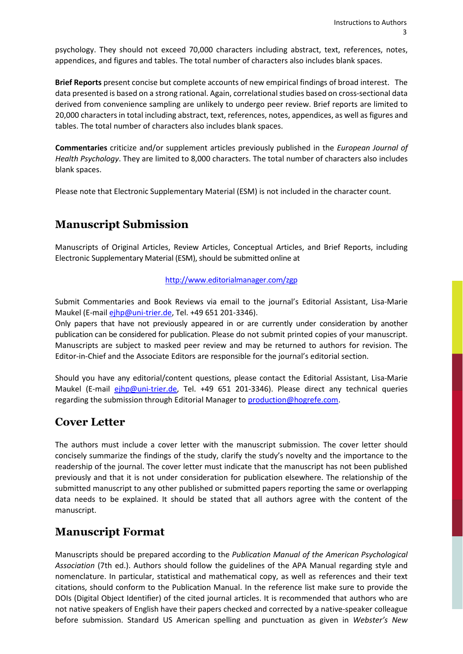psychology. They should not exceed 70,000 characters including abstract, text, references, notes, appendices, and figures and tables. The total number of characters also includes blank spaces.

**Brief Reports** present concise but complete accounts of new empirical findings of broad interest. The data presented is based on a strong rational. Again, correlational studies based on cross-sectional data derived from convenience sampling are unlikely to undergo peer review. Brief reports are limited to 20,000 charactersin total including abstract, text, references, notes, appendices, as well as figures and tables. The total number of characters also includes blank spaces.

**Commentaries** criticize and/or supplement articles previously published in the *European Journal of Health Psychology*. They are limited to 8,000 characters. The total number of characters also includes blank spaces.

Please note that Electronic Supplementary Material (ESM) is not included in the character count.

## **Manuscript Submission**

Manuscripts of Original Articles, Review Articles, Conceptual Articles, and Brief Reports, including Electronic Supplementary Material (ESM), should be submitted online at

#### <http://www.editorialmanager.com/zgp>

Submit Commentaries and Book Reviews via email to the journal's Editorial Assistant, Lisa-Marie Maukel (E-mail [ejhp@uni-trier.de,](mailto:ejhp@uni-trier.de) Tel. +49 651 201-3346).

Only papers that have not previously appeared in or are currently under consideration by another publication can be considered for publication. Please do not submit printed copies of your manuscript. Manuscripts are subject to masked peer review and may be returned to authors for revision. The Editor-in-Chief and the Associate Editors are responsible for the journal's editorial section.

Should you have any editorial/content questions, please contact the Editorial Assistant, Lisa-Marie Maukel (E-mail [ejhp@uni-trier.de,](mailto:ejhp@uni-trier.de) Tel. +49 651 201-3346). Please direct any technical queries regarding the submission through Editorial Manager to [production@hogrefe.com.](mailto:production@hogrefe.com)

## **Cover Letter**

The authors must include a cover letter with the manuscript submission. The cover letter should concisely summarize the findings of the study, clarify the study's novelty and the importance to the readership of the journal. The cover letter must indicate that the manuscript has not been published previously and that it is not under consideration for publication elsewhere. The relationship of the submitted manuscript to any other published or submitted papers reporting the same or overlapping data needs to be explained. It should be stated that all authors agree with the content of the manuscript.

## **Manuscript Format**

Manuscripts should be prepared according to the *Publication Manual of the American Psychological Association* (7th ed.). Authors should follow the guidelines of the APA Manual regarding style and nomenclature. In particular, statistical and mathematical copy, as well as references and their text citations, should conform to the Publication Manual. In the reference list make sure to provide the DOIs (Digital Object Identifier) of the cited journal articles. It is recommended that authors who are not native speakers of English have their papers checked and corrected by a native-speaker colleague before submission. Standard US American spelling and punctuation as given in *Webster's New*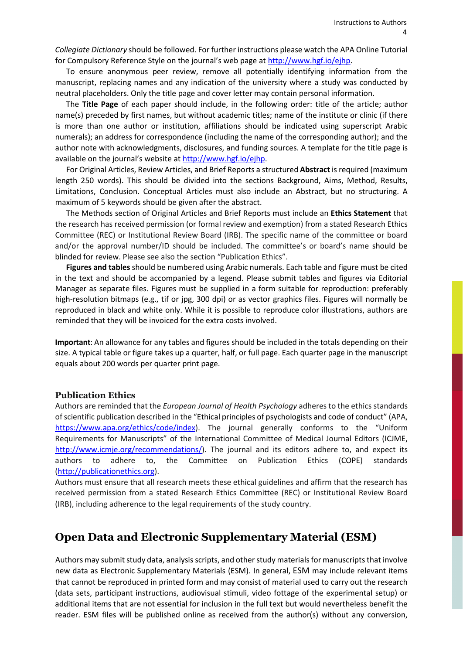*Collegiate Dictionary* should be followed. For further instructions please watch the APA Online Tutorial for Compulsory Reference Style on the journal's web page at [http://www.hgf.io/ejhp.](http://www.hgf.io/ejhp)

To ensure anonymous peer review, remove all potentially identifying information from the manuscript, replacing names and any indication of the university where a study was conducted by neutral placeholders. Only the title page and cover letter may contain personal information.

The **Title Page** of each paper should include, in the following order: title of the article; author name(s) preceded by first names, but without academic titles; name of the institute or clinic (if there is more than one author or institution, affiliations should be indicated using superscript Arabic numerals); an address for correspondence (including the name of the corresponding author); and the author note with acknowledgments, disclosures, and funding sources. A template for the title page is available on the journal's website at [http://www.hgf.io/ejhp.](http://www.hgf.io/ejhp)

For Original Articles, Review Articles, and Brief Reports a structured **Abstract** is required (maximum length 250 words). This should be divided into the sections Background, Aims, Method, Results, Limitations, Conclusion. Conceptual Articles must also include an Abstract, but no structuring. A maximum of 5 keywords should be given after the abstract.

The Methods section of Original Articles and Brief Reports must include an **Ethics Statement** that the research has received permission (or formal review and exemption) from a stated Research Ethics Committee (REC) or Institutional Review Board (IRB). The specific name of the committee or board and/or the approval number/ID should be included. The committee's or board's name should be blinded for review. Please see also the section "Publication Ethics".

**Figures and tables**should be numbered using Arabic numerals. Each table and figure must be cited in the text and should be accompanied by a legend. Please submit tables and figures via Editorial Manager as separate files. Figures must be supplied in a form suitable for reproduction: preferably high-resolution bitmaps (e.g., tif or jpg, 300 dpi) or as vector graphics files. Figures will normally be reproduced in black and white only. While it is possible to reproduce color illustrations, authors are reminded that they will be invoiced for the extra costs involved.

**Important**: An allowance for any tables and figures should be included in the totals depending on their size. A typical table or figure takes up a quarter, half, or full page. Each quarter page in the manuscript equals about 200 words per quarter print page.

#### **Publication Ethics**

Authors are reminded that the *European Journal of Health Psychology* adheres to the ethics standards ofscientific publication described in the "Ethical principles of psychologists and code of conduct" (APA, [https://www.apa.org/ethics/code/index\)](https://www.apa.org/ethics/code/index). The journal generally conforms to the "Uniform Requirements for Manuscripts" of the International Committee of Medical Journal Editors [\(ICJME,](http://www.icmje.org/urm_main.html) [http://www.icmje.org/recommendations/\)](http://www.icmje.org/recommendations/). The journal and its editors adhere to, and expect its authors to adhere to, the Committee on Publication Ethics [\(COPE\)](http://www.publicationethics.org/resources/code-conduct) standards [\(http://publicationethics.org\)](http://publicationethics.org/).

Authors must ensure that all research meets these ethical guidelines and affirm that the research has received permission from a stated Research Ethics Committee (REC) or Institutional Review Board (IRB), including adherence to the legal requirements of the study country.

## **Open Data and Electronic Supplementary Material (ESM)**

Authors may submit study data, analysis scripts, and other study materials for manuscripts that involve new data as Electronic Supplementary Materials (ESM). In general, ESM may include relevant items that cannot be reproduced in printed form and may consist of material used to carry out the research (data sets, participant instructions, audiovisual stimuli, video fottage of the experimental setup) or additional items that are not essential for inclusion in the full text but would nevertheless benefit the reader. ESM files will be published online as received from the author(s) without any conversion,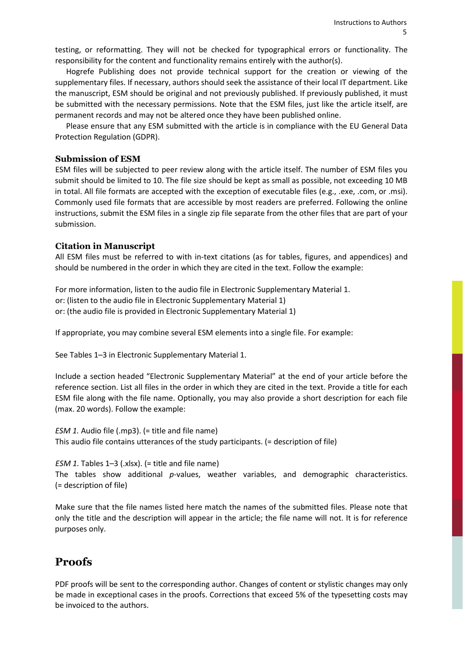testing, or reformatting. They will not be checked for typographical errors or functionality. The responsibility for the content and functionality remains entirely with the author(s).

Hogrefe Publishing does not provide technical support for the creation or viewing of the supplementary files. If necessary, authors should seek the assistance of their local IT department. Like the manuscript, ESM should be original and not previously published. If previously published, it must be submitted with the necessary permissions. Note that the ESM files, just like the article itself, are permanent records and may not be altered once they have been published online.

Please ensure that any ESM submitted with the article is in compliance with the EU General Data Protection Regulation (GDPR).

#### **Submission of ESM**

ESM files will be subjected to peer review along with the article itself. The number of ESM files you submit should be limited to 10. The file size should be kept as small as possible, not exceeding 10 MB in total. All file formats are accepted with the exception of executable files (e.g., .exe, .com, or .msi). Commonly used file formats that are accessible by most readers are preferred. Following the online instructions, submit the ESM files in a single zip file separate from the other files that are part of your submission.

#### **Citation in Manuscript**

All ESM files must be referred to with in-text citations (as for tables, figures, and appendices) and should be numbered in the order in which they are cited in the text. Follow the example:

For more information, listen to the audio file in Electronic Supplementary Material 1. or: (listen to the audio file in Electronic Supplementary Material 1) or: (the audio file is provided in Electronic Supplementary Material 1)

If appropriate, you may combine several ESM elements into a single file. For example:

See Tables 1–3 in Electronic Supplementary Material 1.

Include a section headed "Electronic Supplementary Material" at the end of your article before the reference section. List all files in the order in which they are cited in the text. Provide a title for each ESM file along with the file name. Optionally, you may also provide a short description for each file (max. 20 words). Follow the example:

*ESM 1.* Audio file (.mp3). (= title and file name) This audio file contains utterances of the study participants. (= description of file)

*ESM 1.* Tables 1–3 (.xlsx). (= title and file name) The tables show additional *p*-values, weather variables, and demographic characteristics. (= description of file)

Make sure that the file names listed here match the names of the submitted files. Please note that only the title and the description will appear in the article; the file name will not. It is for reference purposes only.

#### **Proofs**

PDF proofs will be sent to the corresponding author. Changes of content or stylistic changes may only be made in exceptional cases in the proofs. Corrections that exceed 5% of the typesetting costs may be invoiced to the authors.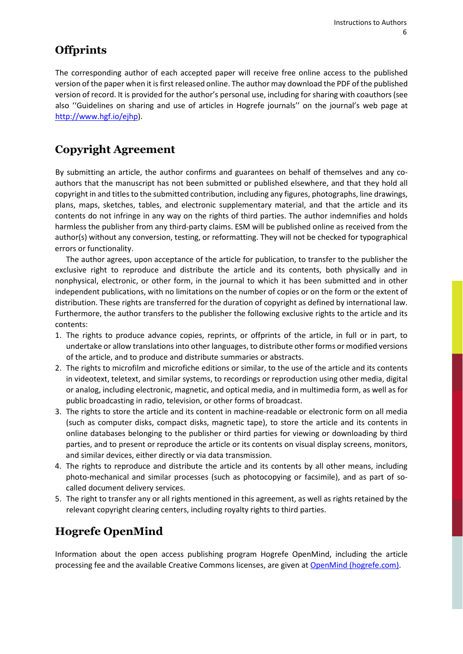# **Offprints**

The corresponding author of each accepted paper will receive free online access to the published version of the paper when it isfirst released online. The author may download the PDF of the published version of record. It is provided for the author's personal use, including forsharing with coauthors (see also ''Guidelines on sharing and use of articles in Hogrefe journals'' on the journal's web page at [http://www.hgf.io/ejhp\)](http://www.hgf.io/ejhp).

# **Copyright Agreement**

By submitting an article, the author confirms and guarantees on behalf of themselves and any coauthors that the manuscript has not been submitted or published elsewhere, and that they hold all copyright in and titlesto the submitted contribution, including any figures, photographs, line drawings, plans, maps, sketches, tables, and electronic supplementary material, and that the article and its contents do not infringe in any way on the rights of third parties. The author indemnifies and holds harmless the publisher from any third-party claims. ESM will be published online as received from the author(s) without any conversion, testing, or reformatting. They will not be checked for typographical errors or functionality.

The author agrees, upon acceptance of the article for publication, to transfer to the publisher the exclusive right to reproduce and distribute the article and its contents, both physically and in nonphysical, electronic, or other form, in the journal to which it has been submitted and in other independent publications, with no limitations on the number of copies or on the form or the extent of distribution. These rights are transferred for the duration of copyright as defined by international law. Furthermore, the author transfers to the publisher the following exclusive rights to the article and its contents:

- 1. The rights to produce advance copies, reprints, or offprints of the article, in full or in part, to undertake or allow translations into other languages, to distribute other forms or modified versions of the article, and to produce and distribute summaries or abstracts.
- 2. The rights to microfilm and microfiche editions or similar, to the use of the article and its contents in videotext, teletext, and similar systems, to recordings or reproduction using other media, digital or analog, including electronic, magnetic, and optical media, and in multimedia form, as well as for public broadcasting in radio, television, or other forms of broadcast.
- 3. The rights to store the article and its content in machine-readable or electronic form on all media (such as computer disks, compact disks, magnetic tape), to store the article and its contents in online databases belonging to the publisher or third parties for viewing or downloading by third parties, and to present or reproduce the article or its contents on visual display screens, monitors, and similar devices, either directly or via data transmission.
- 4. The rights to reproduce and distribute the article and its contents by all other means, including photo-mechanical and similar processes (such as photocopying or facsimile), and as part of socalled document delivery services.
- 5. The right to transfer any or all rights mentioned in this agreement, as well as rights retained by the relevant copyright clearing centers, including royalty rights to third parties.

# **Hogrefe OpenMind**

Information about the open access publishing program Hogrefe OpenMind, including the article processing fee and the available Creative Commons licenses, are given at OpenMind [\(hogrefe.com\).](https://www.hogrefe.com/us/service/for-journal-authors/openmind)